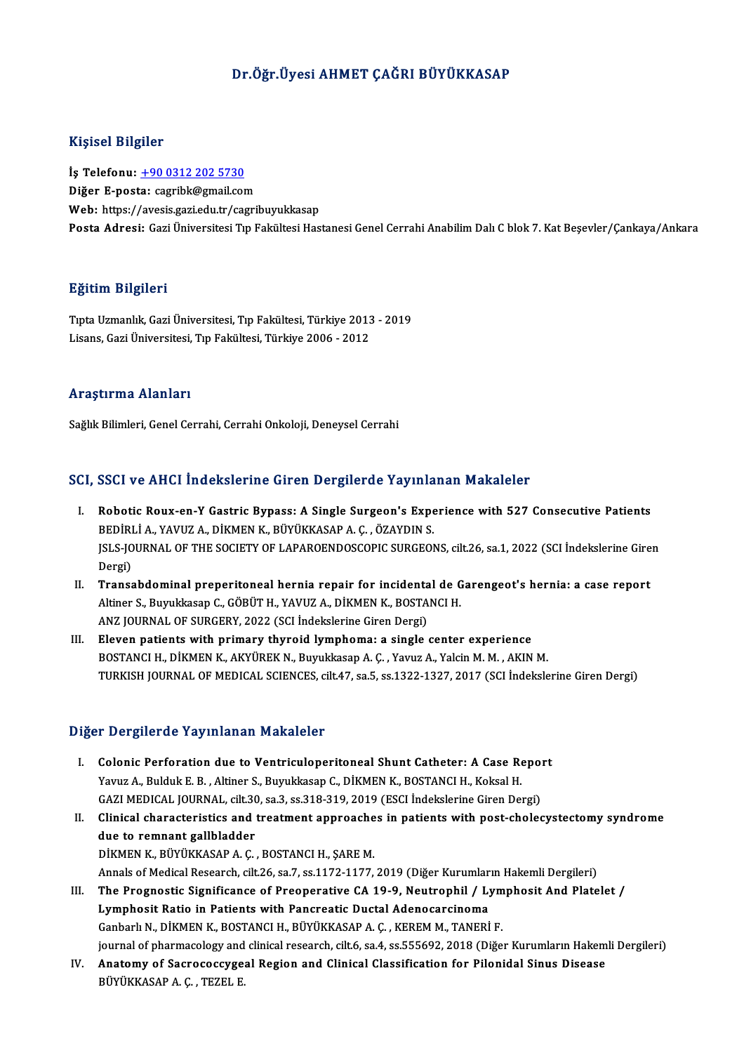## Dr.Öğr.Üyesi AHMET ÇAĞRI BÜYÜKKASAP

#### Kişisel Bilgiler

Kişisel Bilgiler<br>İş Telefonu: <u>+90 0312 202 5730</u><br>Diğer E nasta: səsrihk@smail.com 11131001 Diigiloi<br>İş Telefonu: <u>+90 0312 202 5730</u><br>Diğer E-posta: [cagribk@gmail.com](tel:+90 0312 202 5730)<br>Web: https://avesis.gari.edu.tr/cagrii Diğer E-posta: cagribk@gmail.com<br>Web: https://avesis.gazi.edu.tr/cagribuyukkasap Posta Adresi: Gazi Üniversitesi Tıp Fakültesi Hastanesi Genel Cerrahi Anabilim Dalı C blok 7. Kat Besevler/Cankaya/Ankara

#### Eğitim Bilgileri

<mark>Eğitim Bilgileri</mark><br>Tıpta Uzmanlık, Gazi Üniversitesi, Tıp Fakültesi, Türkiye 2013 - 2019<br>Lisans *Cari Üniversitesi Tı*n Fakültesi, Türkiye 2006 - 2012 Lisanan Dargarora<br>Tıpta Uzmanlık, Gazi Üniversitesi, Tıp Fakültesi, Türkiye 2013<br>Lisans, Gazi Üniversitesi, Tıp Fakültesi, Türkiye 2006 - 2012 Lisans, Gazi Üniversitesi, Tıp Fakültesi, Türkiye 2006 - 2012<br>Araştırma Alanları

Sağlık Bilimleri, Genel Cerrahi, Cerrahi Onkoloji, Deneysel Cerrahi

#### SCI, SSCI ve AHCI İndekslerine Giren Dergilerde Yayınlanan Makaleler

- CI, SSCI ve AHCI Indekslerine Giren Dergilerde Yayınlanan Makaleler<br>I. Robotic Roux-en-Y Gastric Bypass: A Single Surgeon's Experience with 527 Consecutive Patients<br>REDIRLLA VAWIZA DIKMENIX RIWUKASARA G ÖZAYDIN S BEDİRLİ A., YAVUZ A., DİKMEN K., BÜYÜKKASAP A. Ç. , ÖZAYDIN S.<br>BEDİRLİ A., YAVUZ A., DİKMEN K., BÜYÜKKASAP A. Ç. , ÖZAYDIN S.<br>ISLS JOUPNAL OF THE SOCIETY OF LABAROFNDOSCORIC SURCEOL Robotic Roux-en-Y Gastric Bypass: A Single Surgeon's Experience with 527 Consecutive Patients<br>BEDİRLİ A., YAVUZ A., DİKMEN K., BÜYÜKKASAP A. Ç. , ÖZAYDIN S.<br>JSLS-JOURNAL OF THE SOCIETY OF LAPAROENDOSCOPIC SURGEONS, cilt.26 BEDİRLİ A., YAVUZ A., DİKMEN K., BÜYÜKKASAP A. Ç. , ÖZAYDIN S.<br>JSLS-JOURNAL OF THE SOCIETY OF LAPAROENDOSCOPIC SURGEONS, cilt.26, sa.1, 2022 (SCI İndekslerine Giren<br>Dergi) ISLS-JOURNAL OF THE SOCIETY OF LAPAROENDOSCOPIC SURGEONS, cilt.26, sa.1, 2022 (SCI Indekslerine Gire<br>Dergi)<br>II. Transabdominal preperitoneal hernia repair for incidental de Garengeot's hernia: a case report
- Dergi)<br>Transabdominal preperitoneal hernia repair for incidental de G<br>Altiner S., Buyukkasap C., GÖBÜT H., YAVUZ A., DİKMEN K., BOSTANCI H.<br>ANZ JOURNAL OF SURCERY 2022 (SCLİndekslerine Ciren Dergi) Transabdominal preperitoneal hernia repair for incidenta<br>Altiner S., Buyukkasap C., GÖBÜT H., YAVUZ A., DİKMEN K., BOSTA<br>ANZ JOURNAL OF SURGERY, 2022 (SCI İndekslerine Giren Dergi)<br>Flavan nationta with nrimary thynaid lymn Altiner S., Buyukkasap C., GÖBÜT H., YAVUZ A., DİKMEN K., BOSTANCI H.<br>ANZ JOURNAL OF SURGERY, 2022 (SCI İndekslerine Giren Dergi)<br>III. Eleven patients with primary thyroid lymphoma: a single center experience
- BOSTANCI H., DİKMEN K., AKYÜREK N., Buyukkasap A. Ç., Yavuz A., Yalcin M. M., AKIN M. TURKISH JOURNAL OF MEDICAL SCIENCES, cilt.47, sa.5, ss.1322-1327, 2017 (SCI İndekslerine Giren Dergi)

#### Diğer Dergilerde Yayınlanan Makaleler

- Iger Dergilerde Yayınlanan Makaleler<br>I. Colonic Perforation due to Ventriculoperitoneal Shunt Catheter: A Case Report<br>Varuz A Bulduk E.B. Altiner S. Buvukkesen C. DİKMEN K. BOSTANCLH, Keksel H. Yavuz A., Bulduk E. B., Altiner S., Buyukkasap C., DİKMEN K., BOSTANCI H., Koksal H.<br>Yavuz A., Bulduk E. B., Altiner S., Buyukkasap C., DİKMEN K., BOSTANCI H., Koksal H.<br>CAZI MEDICAL JOUPNAL, silt 20, sa 3, ss 319, 319, 20 Colonic Perforation due to Ventriculoperitoneal Shunt Catheter: A Case Repoi<br>Yavuz A., Bulduk E. B. , Altiner S., Buyukkasap C., DİKMEN K., BOSTANCI H., Koksal H.<br>GAZI MEDICAL JOURNAL, cilt.30, sa.3, ss.318-319, 2019 (ESCI
- Yavuz A., Bulduk E. B. , Altiner S., Buyukkasap C., DİKMEN K., BOSTANCI H., Koksal H.<br>GAZI MEDICAL JOURNAL, cilt.30, sa.3, ss.318-319, 2019 (ESCI İndekslerine Giren Dergi)<br>II. Clinical characteristics and treatment approac GAZI MEDICAL JOURNAL, cilt.30<br>Clinical characteristics and<br>due to remnant gallbladder<br>DiVMEN V. PÜVÜVVASARA G DİKMEN K., BÜYÜKKASAP A.Ç. , BOSTANCI H., ŞAREM. due to remnant gallbladder<br>DİKMEN K., BÜYÜKKASAP A. Ç. , BOSTANCI H., ŞARE M.<br>Annals of Medical Research, cilt.26, sa.7, ss.1172-1177, 2019 (Diğer Kurumların Hakemli Dergileri)<br>The Pregnestis Significence of Preenerative C DİKMEN K., BÜYÜKKASAP A. Ç. , BOSTANCI H., ŞARE M.<br>Annals of Medical Research, cilt.26, sa.7, ss.1172-1177, 2019 (Diğer Kurumların Hakemli Dergileri)<br>III. The Prognostic Significance of Preoperative CA 19-9, Neutrophil / L
- Annals of Medical Research, cilt.26, sa.7, ss.1172-1177, 2019 (Diğer Kurumlar<br>The Prognostic Significance of Preoperative CA 19-9, Neutrophil / Ly<br>Lymphosit Ratio in Patients with Pancreatic Ductal Adenocarcinoma<br>Canbarly III. The Prognostic Significance of Preoperative CA 19-9, Neutrophil / Lymphosit And Platelet /<br>Lymphosit Ratio in Patients with Pancreatic Ductal Adenocarcinoma<br>Ganbarlı N., DİKMEN K., BOSTANCI H., BÜYÜKKASAP A. Ç., KEREM journal of pharmacology and clinical research, cilt.6, sa.4, ss.555692, 2018 (Diğer Kurumların Hakemli Dergileri) Ganbarlı N., DİKMEN K., BOSTANCI H., BÜYÜKKASAP A. Ç. , KEREM M., TANERİ F.<br>journal of pharmacology and clinical research, cilt.6, sa.4, ss.555692, 2018 (Diğer Kurumların Hakem<br>IV. Anatomy of Sacrococcygeal Region and Clin
- journal of pharmacology and<br><mark>Anatomy of Sacrococcyge</mark>.<br>BÜYÜKKASAP A. Ç. , TEZEL E.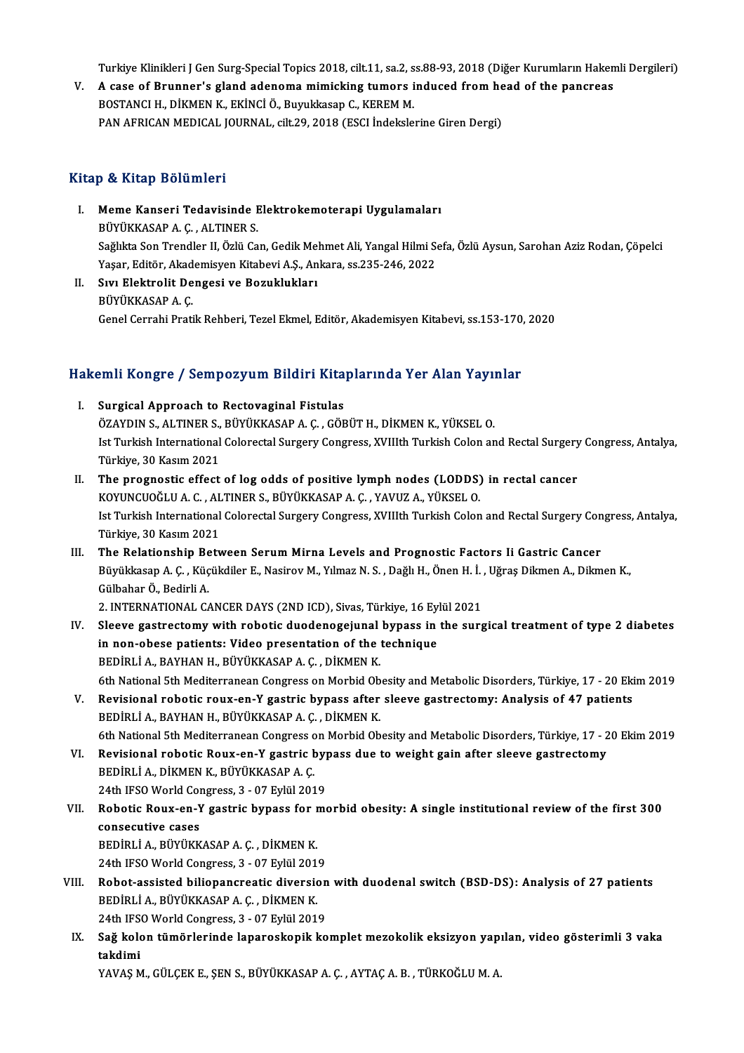Turkiye Klinikleri J Gen Surg-Special Topics 2018, cilt.11, sa.2, ss.88-93, 2018 (Diğer Kurumların Hakemli Dergileri)<br>A sase of Puunner's sland adeneme mimiskins tumere indused from beed of the penspees.

Turkiye Klinikleri J Gen Surg-Special Topics 2018, cilt.11, sa.2, ss.88-93, 2018 (Diğer Kurumların Haken<br>V. A case of Brunner's gland adenoma mimicking tumors induced from head of the pancreas Turkiye Klinikleri J Gen Surg-Special Topics 2018, cilt.11, sa.2, s<br>A case of Brunner's gland adenoma mimicking tumors i<br>BOSTANCI H., DİKMEN K., EKİNCİ Ö., Buyukkasap C., KEREM M.<br>BAN AEBICAN MEDICAL JOURNAL, silt 20, 2019 V. A case of Brunner's gland adenoma mimicking tumors induced from head of the pancreas<br>BOSTANCI H., DİKMEN K., EKİNCİ Ö., Buyukkasap C., KEREM M.<br>PAN AFRICAN MEDICAL JOURNAL, cilt.29, 2018 (ESCI İndekslerine Giren Dergi)

### Kitap & Kitap Bölümleri

- Itap & Kitap Bölümleri<br>I. Meme Kanseri Tedavisinde Elektrokemoterapi Uygulamaları<br>PÜVÜKKASARA G. ALTINERS b & HELLP DOLUMET<br>Meme Kanseri Tedavisinde B<br>BÜYÜKKASAP A. Ç. , ALTINER S.<br>Seğlikte Sen Trendler II. Özlü Ce BÜYÜKKASAP A. Ç. , ALTINER S.<br>Sağlıkta Son Trendler II, Özlü Can, Gedik Mehmet Ali, Yangal Hilmi Sefa, Özlü Aysun, Sarohan Aziz Rodan, Çöpelci BÜYÜKKASAP A. Ç. , ALTINER S.<br>Sağlıkta Son Trendler II, Özlü Can, Gedik Mehmet Ali, Yangal Hilmi S.<br>Yaşar, Editör, Akademisyen Kitabevi A.Ş., Ankara, ss.235-246, 2022<br>Sun, Elektrolit Dengesi ve Beguklukları
- II. Sıvı Elektrolit Dengesi ve Bozuklukları<br>BÜYÜKKASAP A.Ç. Yaşar, Editör, Akad<br>Sıvı Elektrolit De<br>BÜYÜKKASAP A. Ç.<br>Çenel Cennebi Prati Genel Cerrahi Pratik Rehberi, Tezel Ekmel, Editör, Akademisyen Kitabevi, ss.153-170, 2020

# uenei Cerrani Prauk Kenberi, 1ezei Ekmei, Editor, Akademisyen Kitabevi, ss.153-170<br>Hakemli Kongre / Sempozyum Bildiri Kitaplarında Yer Alan Yayınlar

- akemli Kongre / Sempozyum Bildiri Kita<br>I. Surgical Approach to Rectovaginal Fistulas<br>ÖZAYDIN S. ALTINER S. BÜYÜKKASARA G. GÖE ÖZAYDIN S., ALTINER S., BÜYÜKKASAP A.Ç. , GÖBÜT H., DİKMEN K., YÜKSEL O.<br>ÖZAYDIN S., ALTINER S., BÜYÜKKASAP A.Ç. , GÖBÜT H., DİKMEN K., YÜKSEL O.<br>Ist Turkish International Celerestal Surgery Congress, YVIIIth Turkish Celen I. Surgical Approach to Rectovaginal Fistulas<br>ÖZAYDIN S., ALTINER S., BÜYÜKKASAP A. Ç. , GÖBÜT H., DİKMEN K., YÜKSEL O.<br>Ist Turkish International Colorectal Surgery Congress, XVIIIth Turkish Colon and Rectal Surgery Congre ÖZAYDIN S., ALTINER S.,<br>Ist Turkish International<br>Türkiye, 30 Kasım 2021<br>The pregnestis effect
- II. The prognostic effect of log odds of positive lymph nodes (LODDS) in rectal cancer Türkiye, 30 Kasım 2021<br>The prognostic effect of log odds of positive lymph nodes (LODDS)<br>KOYUNCUOĞLU A. C. , ALTINER S., BÜYÜKKASAP A. Ç. , YAVUZ A., YÜKSEL O.<br>Ist Turkish International Celenestal Surgery Congress, YVIIIth Ist Turkish International Colorectal Surgery Congress, XVIIIth Turkish Colon and Rectal Surgery Congress, Antalya,<br>Türkiye, 30 Kasım 2021 KOYUNCUOĞLU A. C. , AL<br>Ist Turkish International<br>Türkiye, 30 Kasım 2021<br>The Belationabin Bety Ist Turkish International Colorectal Surgery Congress, XVIIIth Turkish Colon and Rectal Surgery Con<br>Türkiye, 30 Kasım 2021<br>III. The Relationship Between Serum Mirna Levels and Prognostic Factors Ii Gastric Cancer<br>Büyükkese
- Türkiye, 30 Kasım 2021<br>The Relationship Between Serum Mirna Levels and Prognostic Factors Ii Gastric Cancer<br>Büyükkasap A. Ç. , Küçükdiler E., Nasirov M., Yılmaz N. S. , Dağlı H., Önen H. İ. , Uğraş Dikmen A., Dikmen K.,<br>Gü The Relationship Be<br>Büyükkasap A. Ç. , Küç<br>Gülbahar Ö., Bedirli A.<br>2. INTERNATIONAL G Büyükkasap A. Ç. , Küçükdiler E., Nasirov M., Yılmaz N. S. , Dağlı H., Önen H. İ. ,<br>Gülbahar Ö., Bedirli A.<br>2. INTERNATIONAL CANCER DAYS (2ND ICD), Sivas, Türkiye, 16 Eylül 2021<br>Slasya gastrastamy with rabatis duadanagsiyn Gülbahar Ö., Bedirli A.<br>2. INTERNATIONAL CANCER DAYS (2ND ICD), Sivas, Türkiye, 16 Eylül 2021<br>IV. Sleeve gastrectomy with robotic duodenogejunal bypass in the surgical treatment of type 2 diabetes

- 2. INTERNATIONAL CANCER DAYS (2ND ICD), Sivas, Türkiye, 16 Eylül 2021<br>Sleeve gastrectomy with robotic duodenogejunal bypass in the sur<br>in non-obese patients: Video presentation of the technique<br>BEDIRLI A., BAYHAN H., BÜYÜK in non-obese patients: Video presentation of the technique 6th National 5th Mediterranean Congress on Morbid Obesity and Metabolic Disorders, Türkiye, 17 - 20 Ekim 2019 BEDİRLİ A., BAYHAN H., BÜYÜKKASAP A. Ç. , DİKMEN K.<br>6th National 5th Mediterranean Congress on Morbid Obesity and Metabolic Disorders, Türkiye, 17 - 20 Eki<br>7. Revisional robotic roux-en-Y gastric bypass after sleeve gastre
- 6th National 5th Mediterranean Congress on Morbid Ob<br>Revisional robotic roux-en-Y gastric bypass after<br>BEDİRLİ A., BAYHAN H., BÜYÜKKASAP A. Ç. , DİKMEN K.<br>6th National 5th Mediterranean Congress on Merbid Ob Revisional robotic roux-en-Y gastric bypass after sleeve gastrectomy: Analysis of 47 patients<br>BEDİRLİ A., BAYHAN H., BÜYÜKKASAP A. Ç. , DİKMEN K.<br>6th National 5th Mediterranean Congress on Morbid Obesity and Metabolic Diso BEDİRLİ A., BAYHAN H., BÜYÜKKASAP A. Ç. , DİKMEN K.<br>6th National 5th Mediterranean Congress on Morbid Obesity and Metabolic Disorders, Türkiye, 17 - 20 Ekim 2019<br>7. Revisional robotic Roux-en-Y gastric bypass due to weight
- 6th National 5th Mediterranean Congress c<br>Revisional robotic Roux-en-Y gastric b<br>BEDİRLİ A., DİKMEN K., BÜYÜKKASAP A. Ç.<br>24th JESO World Congress 2. . 07 Evlül 201 Revisional robotic Roux-en-Y gastric by<br>BEDİRLİ A., DİKMEN K., BÜYÜKKASAP A. Ç.<br>24th IFSO World Congress, 3 - 07 Eylül 2019<br>Behatis Beux, en Y gastris hunasa far me BEDİRLİ A., DİKMEN K., BÜYÜKKASAP A. Ç.<br>24th IFSO World Congress, 3 - 07 Eylül 2019<br>VII. Robotic Roux-en-Y gastric bypass for morbid obesity: A single institutional review of the first 300<br>consecutive cases
- 24th IFSO World Consecutive cases<br>consecutive cases<br>penint i a pilvilvy Robotic Roux-en-Y gastric bypass for **1**<br>consecutive cases<br>BEDİRLİ A., BÜYÜKKASAP A. Ç. , DİKMEN K.<br>24th JESO World Congress - 2 , 07 Erlül 201 consecutive cases<br>BEDİRLİ A., BÜYÜKKASAP A. Ç. , DİKMEN K.<br>24th IFSO World Congress, 3 - 07 Eylül 2019 BEDİRLİ A., BÜYÜKKASAP A. Ç. , DİKMEN K.<br>24th IFSO World Congress, 3 - 07 Eylül 2019<br>VIII. Robot-assisted biliopancreatic diversion with duodenal switch (BSD-DS): Analysis of 27 patients<br>PEDIRLİ A. BÜYÜKKASAR A. G. DİKMEN
- 24th IFSO World Congress, 3 07 Eylül 201<br>Robot-assisted biliopancreatic diversion<br>BEDİRLİ A., BÜYÜKKASAP A.Ç., DİKMEN K. Robot-assisted biliopancreatic diversion<br>BEDİRLİ A., BÜYÜKKASAP A. Ç. , DİKMEN K.<br>24th IFSO World Congress, 3 - 07 Eylül 2019<br>Sež kalan tümörleninde lanansakanik ke
- BEDİRLİ A., BÜYÜKKASAP A. Ç. , DİKMEN K.<br>24th IFSO World Congress, 3 07 Eylül 2019<br>IX. Sağ kolon tümörlerinde laparoskopik komplet mezokolik eksizyon yapılan, video gösterimli 3 vaka<br>taldimi 24th IFS<br><mark>Sağ kol</mark><br>takdimi<br><sup>VAVAS M</sup> Sağ kolon tümörlerinde laparoskopik komplet mezokolik eksizyon yap:<br>takdimi<br>YAVAŞ M., GÜLÇEK E., ŞEN S., BÜYÜKKASAP A. Ç. , AYTAÇ A. B. , TÜRKOĞLU M. A.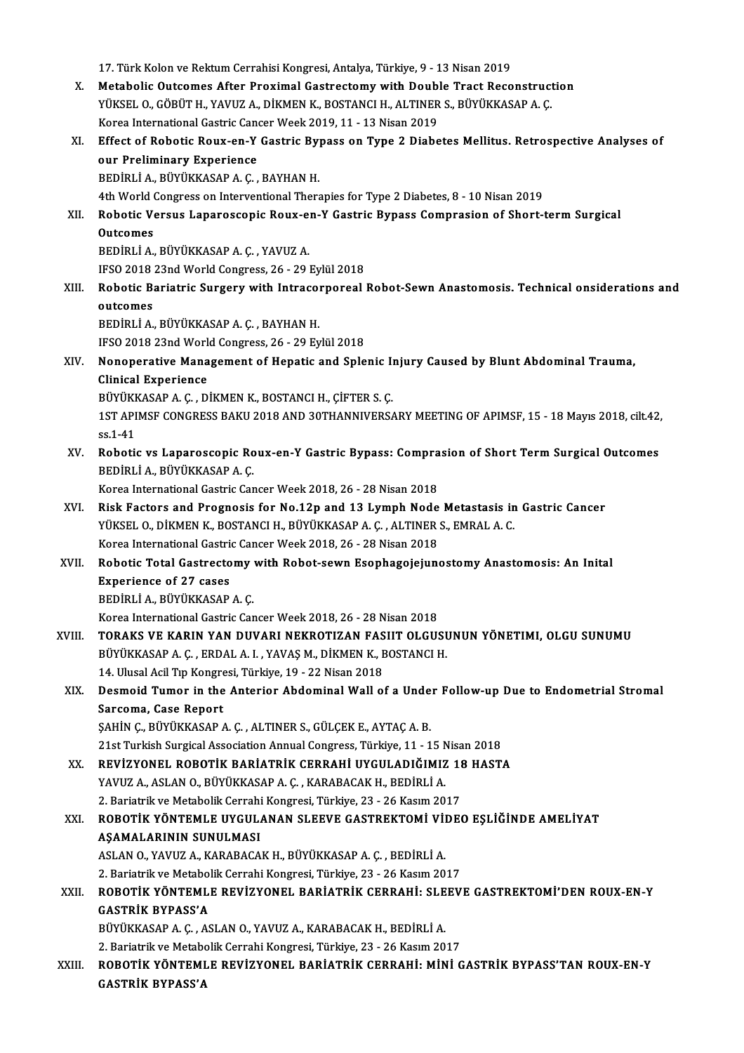17. Türk Kolon ve Rektum Cerrahisi Kongresi, Antalya, Türkiye, 9 - 13 Nisan 2019 17. Türk Kolon ve Rektum Cerrahisi Kongresi, Antalya, Türkiye, 9 - 13 Nisan 2019<br>X. Metabolic Outcomes After Proximal Gastrectomy with Double Tract Reconstruction<br>VIVEELO CÖPÜTH VAVUZ A DIKMEN K POSTANCLH ALTINERS PIWÜKKAS 17. Türk Kolon ve Rektum Cerrahisi Kongresi, Antalya, Türkiye, 9 - 13 Nisan 2019<br>Metabolic Outcomes After Proximal Gastrectomy with Double Tract Reconstruct<br>YÜKSEL O., GÖBÜT H., YAVUZ A., DİKMEN K., BOSTANCI H., ALTINER S. Metabolic Outcomes After Proximal Gastrectomy with Doubly<br>YÜKSEL O., GÖBÜT H., YAVUZ A., DİKMEN K., BOSTANCI H., ALTINER<br>Korea International Gastric Cancer Week 2019, 11 - 13 Nisan 2019<br>F<sup>ef</sup>ect of Bobatis Bouy on Y Gastri YÜKSEL O., GÖBÜT H., YAVUZ A., DİKMEN K., BOSTANCI H., ALTINER S., BÜYÜKKASAP A. Ç.<br>Korea International Gastric Cancer Week 2019, 11 - 13 Nisan 2019<br>XI. Effect of Robotic Roux-en-Y Gastric Bypass on Type 2 Diabetes Mellitu Korea International Gastric Cancert<br>Effect of Robotic Roux-en-Y<br>our Preliminary Experience<br>PEDIPLLA PUVUKASARA G Effect of Robotic Roux-en-Y Gastric By<br>our Preliminary Experience<br>BEDİRLİ A., BÜYÜKKASAP A. Ç. , BAYHAN H.<br>4th World Congress on Interventional There our Preliminary Experience<br>BEDİRLİ A., BÜYÜKKASAP A. Ç. , BAYHAN H.<br>4th World Congress on Interventional Therapies for Type 2 Diabetes, 8 - 10 Nisan 2019 BEDİRLİ A., BÜYÜKKASAP A. Ç. , BAYHAN H.<br>4th World Congress on Interventional Therapies for Type 2 Diabetes, 8 - 10 Nisan 2019<br>XII. Robotic Versus Laparoscopic Roux-en-Y Gastric Bypass Comprasion of Short-term Surgical 4th World (<br>Robotic V<br>Outcomes<br>PEDIPLIA Robotic Versus Laparoscopic Roux-e:<br>Outcomes<br>BEDİRLİ A., BÜYÜKKASAP A. Ç. , YAVUZ A.<br>IESO 2018 22nd World Congress 26 - 29 . Outcomes<br>BEDİRLİ A., BÜYÜKKASAP A. Ç. , YAVUZ A.<br>IFSO 2018 23nd World Congress, 26 - 29 Eylül 2018 BEDİRLİ A., BÜYÜKKASAP A. Ç. , YAVUZ A.<br>IFSO 2018 23nd World Congress, 26 - 29 Eylül 2018<br>XIII. Robotic Bariatric Surgery with Intracorporeal Robot-Sewn Anastomosis. Technical onsiderations and<br> **IFSO 2018**<br>**Robotic Band<br>outcomes**<br>PEDIPLIA outcomes<br>BEDİRLİ A., BÜYÜKKASAP A. Ç. , BAYHAN H. IFSO2018 23ndWorldCongress,26 -29Eylül2018 BEDİRLİ A., BÜYÜKKASAP A. Ç. , BAYHAN H.<br>IFSO 2018 23nd World Congress, 26 - 29 Eylül 2018<br>XIV. Nonoperative Management of Hepatic and Splenic Injury Caused by Blunt Abdominal Trauma,<br>Clinical Experience IFSO 2018 23nd Work<br>Nonoperative Mana<br>Clinical Experience<br>P<sup>rivity</sup> MSAR A.C., D Nonoperative Management of Hepatic and Splenic I<br>Clinical Experience<br>BÜYÜKKASAP A. Ç. , DİKMEN K., BOSTANCI H., ÇİFTER S. Ç.<br>1ST ARIMEE CONCRESS RAKU 2018 AND 20THANNIVERS. Clinical Experience<br>BÜYÜKKASAP A. Ç. , DİKMEN K., BOSTANCI H., ÇİFTER S. Ç.<br>1ST APIMSF CONGRESS BAKU 2018 AND 30THANNIVERSARY MEETING OF APIMSF, 15 - 18 Mayıs 2018, cilt.42, BÜYÜK<br>1ST API<br>ss.1-41<br>Pebeti 1ST APIMSF CONGRESS BAKU 2018 AND 30THANNIVERSARY MEETING OF APIMSF, 15 - 18 Mayıs 2018, cilt.42,<br>ss.1-41<br>XV. Robotic vs Laparoscopic Roux-en-Y Gastric Bypass: Comprasion of Short Term Surgical Outcomes<br>penipli A. PüvüvyAS ss.1-41<br>Robotic vs Laparoscopic Roux-en-Y Gastric Bypass: Compra<br>BEDİRLİ A., BÜYÜKKASAP A. Ç.<br>Korea International Gastric Cancer Week 2018, 26 - 28 Nisan 2018 XV. Robotic vs Laparoscopic Roux-en-Y Gastric Bypass: Comprasion of Short Term Surgical Outcomes XVI. Risk Factors and Prognosis for No.12p and 13 Lymph Node Metastasis in Gastric Cancer Korea International Gastric Cancer Week 2018, 26 - 28 Nisan 2018<br>Risk Factors and Prognosis for No.12p and 13 Lymph Node Metastasis in<br>YÜKSEL O., DİKMEN K., BOSTANCI H., BÜYÜKKASAP A. Ç. , ALTINER S., EMRAL A. C.<br>Korea Int Risk Factors and Prognosis for No.12p and 13 Lymph Node<br>YÜKSEL O., DİKMEN K., BOSTANCI H., BÜYÜKKASAP A. Ç. , ALTINER<br>Korea International Gastrectomy with Pobot seyyn Esephagoisiyna<br>Pobotis Total Castrectomy with Pobot sey YÜKSEL O., DİKMEN K., BOSTANCI H., BÜYÜKKASAP A. Ç. , ALTINER S., EMRAL A. C.<br>Korea International Gastric Cancer Week 2018, 26 - 28 Nisan 2018<br>XVII. Robotic Total Gastrectomy with Robot-sewn Esophagojejunostomy Anastomosis Korea International Gastric Cancer Week 2018, 26 - 28 Nisan 2018<br>Robotic Total Gastrectomy with Robot-sewn Esophagojejun<br>Experience of 27 cases<br>BEDİRLİ A., BÜYÜKKASAP A. C. Robotic Total Gastrectomy<br>Experience of 27 cases<br>BEDİRLİ A., BÜYÜKKASAP A. Ç.<br>Karea International Castric Cas Korea International Gastric Cancer Week 2018, 26 - 28 Nisan 2018 XVI I. TORAKS VE KARIN YAN DUVARI NEKROTIZAN FASIIT OLGUSUNUN YÖNETIMI, OLGU SUNUMU Korea International Gastric Cancer Week 2018, 26 - 28 Nisan 2018<br>**TORAKS VE KARIN YAN DUVARI NEKROTIZAN FASIIT OLGUSU**<br>BÜYÜKKASAP A. Ç. , ERDAL A. I. , YAVAŞ M., DİKMEN K., BOSTANCI H.<br>14 Hlugal Asil Tın Kongresi Türkiye 1 TORAKS VE KARIN YAN DUVARI NEKROTIZAN FAS<br>BÜYÜKKASAP A. Ç. , ERDAL A. I. , YAVAŞ M., DİKMEN K., E<br>14. Ulusal Acil Tıp Kongresi, Türkiye, 19 - 22 Nisan 2018<br>Desmeid Tumer in the Anterier Abdeminal Well ei BÜYÜKKASAP A. Ç. , ERDAL A. I. , YAVAŞ M., DİKMEN K., BOSTANCI H.<br>14. Ulusal Acil Tıp Kongresi, Türkiye, 19 - 22 Nisan 2018<br>XIX. Desmoid Tumor in the Anterior Abdominal Wall of a Under Follow-up Due to Endometrial Stro 14. Ulusal Acil Tıp Kongre<br>Desmoid Tumor in the<br>Sarcoma, Case Report<br>SAHIN G. PÜVÜKKASAR Desmoid Tumor in the Anterior Abdominal Wall of a Unde<br>Sarcoma, Case Report<br>ŞAHİN Ç., BÜYÜKKASAP A. Ç. , ALTINER S., GÜLÇEK E., AYTAÇ A. B.<br>21st Turkish Surgical Association Annual Congress Türkiye 11, 1 Sarcoma, Case Report<br>ŞAHİN Ç., BÜYÜKKASAP A. Ç. , ALTINER S., GÜLÇEK E., AYTAÇ A. B.<br>21st Turkish Surgical Association Annual Congress, Türkiye, 11 - 15 Nisan 2018<br>REVİZVONEL ROROTİK RARİATRİK GERRAHİ UVCULADIĞIMIZ 19 HAST ŞAHİN Ç., BÜYÜKKASAP A. Ç. , ALTINER S., GÜLÇEK E., AYTAÇ A. B.<br>21st Turkish Surgical Association Annual Congress, Türkiye, 11 - 15 Nisan 2018<br>XX. REVİZYONEL ROBOTİK BARİATRİK CERRAHİ UYGULADIĞIMIZ 18 HASTA<br>YAVUZ A., ASLAN 21st Turkish Surgical Association Annual Congress, Türkiye, 11 - 15 N<br>**REVİZYONEL ROBOTİK BARİATRİK CERRAHİ UYGULADIĞIMIZ**<br>YAVUZ A., ASLAN O., BÜYÜKKASAP A. Ç. , KARABACAK H., BEDİRLİ A.<br>2. Bariatrik ve Metabalik Carrabi K R<mark>EVİZYONEL ROBOTİK BARİATRİK CERRAHİ UYGULADIĞIMIZ 18</mark><br>YAVUZ A., ASLAN O., BÜYÜKKASAP A. Ç. , KARABACAK H., BEDİRLİ A.<br>2. Bariatrik ve Metabolik Cerrahi Kongresi, Türkiye, 23 - 26 Kasım 2017<br>BOROTİK VÖNTEMI E UYÇULANAN SI YAVUZ A., ASLAN O., BÜYÜKKASAP A. Ç. , KARABACAK H., BEDİRLİ A.<br>2. Bariatrik ve Metabolik Cerrahi Kongresi, Türkiye, 23 - 26 Kasım 2017<br>XXI. ROBOTİK YÖNTEMLE UYGULANAN SLEEVE GASTREKTOMİ VİDEO EŞLİĞİNDE AMELİYAT 2. Bariatrik ve Metabolik Cerrahi<br>ROBOTİK YÖNTEMLE UYGUL.<br>AŞAMALARININ SUNULMASI<br>ASLANO YAVUZ A KARARAÇA ROBOTİK YÖNTEMLE UYGULANAN SLEEVE GASTREKTOMİ VİI<br>AŞAMALARININ SUNULMASI<br>ASLAN O., YAVUZ A., KARABACAK H., BÜYÜKKASAP A. Ç. , BEDİRLİ A.<br>2. Berjatrik ve Matebolik Cerrebi Konsresi Türkiye 22., 26 Kesun 20 2.Bariatrik Sunul Masi († 1918)<br>1918 - ASLAN O., YAVUZ A., KARABACAK H., BÜYÜKKASAP A. Ç. , BEDİRLİ A.<br>2. Bariatrik ve Metabolik Cerrahi Kongresi, Türkiye, 23 - 26 Kasım 2017 XXII. ROBOTİK YÖNTEMLE REVİZYONEL BARİATRİK CERRAHİ: SLEEVE GASTREKTOMİ'DEN ROUX-EN-Y GASTRİK BYPASS'A ROBOTİK YÖNTEMLE REVİZYONEL BARİATRİK CERRAHİ: SLE<br>GASTRİK BYPASS'A<br>BÜYÜKKASAP A. Ç. , ASLAN O., YAVUZ A., KARABACAK H., BEDİRLİ A.<br>2. Berjetrik ve Metebelik Cerrebi Kongresi, Türkiye 22., 26 Kesun 20. GASTRİK BYPASS'A<br>BÜYÜKKASAP A. Ç. , ASLAN O., YAVUZ A., KARABACAK H., BEDİRLİ A.<br>2. Bariatrik ve Metabolik Cerrahi Kongresi, Türkiye, 23 - 26 Kasım 2017<br>POPOTİK VÖNTEMLE PEVİZYONEL PARİATRİK CERRAHL, MİNİ C BÜYÜKKASAP A. Ç. , ASLAN O., YAVUZ A., KARABACAK H., BEDİRLİ A.<br>2. Bariatrik ve Metabolik Cerrahi Kongresi, Türkiye, 23 - 26 Kasım 2017<br>XXIII. ROBOTİK YÖNTEMLE REVİZYONEL BARİATRİK CERRAHİ: MİNİ GASTRİK BYPASS'TAN ROUX 2. Bariatrik ve Metabo<br>ROBOTİK YÖNTEMI<br>GASTRİK BYPASS'A